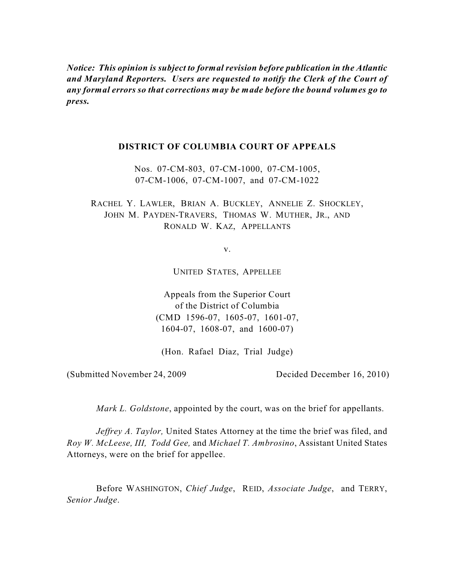*Notice: This opinion is subject to formal revision before publication in the Atlantic and Maryland Reporters. Users are requested to notify the Clerk of the Court of any formal errors so that corrections may be made before the bound volumes go to press.*

## **DISTRICT OF COLUMBIA COURT OF APPEALS**

Nos. 07-CM-803, 07-CM-1000, 07-CM-1005, 07-CM-1006, 07-CM-1007, and 07-CM-1022

RACHEL Y. LAWLER, BRIAN A. BUCKLEY, ANNELIE Z. SHOCKLEY, JOHN M. PAYDEN-TRAVERS, THOMAS W. MUTHER, JR., AND RONALD W. KAZ, APPELLANTS

v.

UNITED STATES, APPELLEE

Appeals from the Superior Court of the District of Columbia (CMD 1596-07, 1605-07, 1601-07, 1604-07, 1608-07, and 1600-07)

(Hon. Rafael Diaz, Trial Judge)

(Submitted November 24, 2009 Decided December 16, 2010)

*Mark L. Goldstone*, appointed by the court, was on the brief for appellants.

*Jeffrey A. Taylor,* United States Attorney at the time the brief was filed, and *Roy W. McLeese, III, Todd Gee,* and *Michael T. Ambrosino*, Assistant United States Attorneys, were on the brief for appellee.

Before WASHINGTON, *Chief Judge*, REID, *Associate Judge*, and TERRY, *Senior Judge*.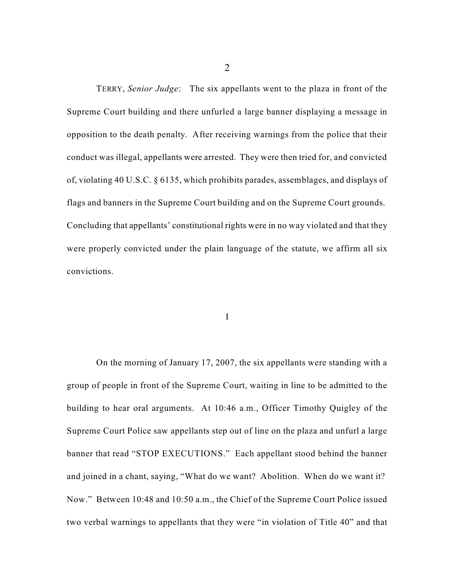TERRY, *Senior Judge*: The six appellants went to the plaza in front of the Supreme Court building and there unfurled a large banner displaying a message in opposition to the death penalty. After receiving warnings from the police that their conduct was illegal, appellants were arrested. They were then tried for, and convicted of, violating 40 U.S.C. § 6135, which prohibits parades, assemblages, and displays of flags and banners in the Supreme Court building and on the Supreme Court grounds. Concluding that appellants' constitutional rights were in no way violated and that they were properly convicted under the plain language of the statute, we affirm all six convictions.

I

On the morning of January 17, 2007, the six appellants were standing with a group of people in front of the Supreme Court, waiting in line to be admitted to the building to hear oral arguments. At 10:46 a.m., Officer Timothy Quigley of the Supreme Court Police saw appellants step out of line on the plaza and unfurl a large banner that read "STOP EXECUTIONS." Each appellant stood behind the banner and joined in a chant, saying, "What do we want? Abolition. When do we want it? Now." Between 10:48 and 10:50 a.m., the Chief of the Supreme Court Police issued two verbal warnings to appellants that they were "in violation of Title 40" and that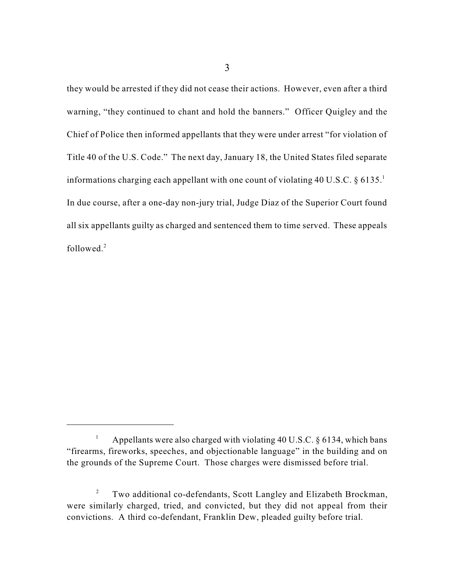they would be arrested if they did not cease their actions. However, even after a third warning, "they continued to chant and hold the banners." Officer Quigley and the Chief of Police then informed appellants that they were under arrest "for violation of Title 40 of the U.S. Code." The next day, January 18, the United States filed separate informations charging each appellant with one count of violating 40 U.S.C. § 6135. 1 In due course, after a one-day non-jury trial, Judge Diaz of the Superior Court found all six appellants guilty as charged and sentenced them to time served. These appeals followed. 2

Appellants were also charged with violating 40 U.S.C. § 6134, which bans 1 "firearms, fireworks, speeches, and objectionable language" in the building and on the grounds of the Supreme Court. Those charges were dismissed before trial.

Two additional co-defendants, Scott Langley and Elizabeth Brockman, 2 were similarly charged, tried, and convicted, but they did not appeal from their convictions. A third co-defendant, Franklin Dew, pleaded guilty before trial.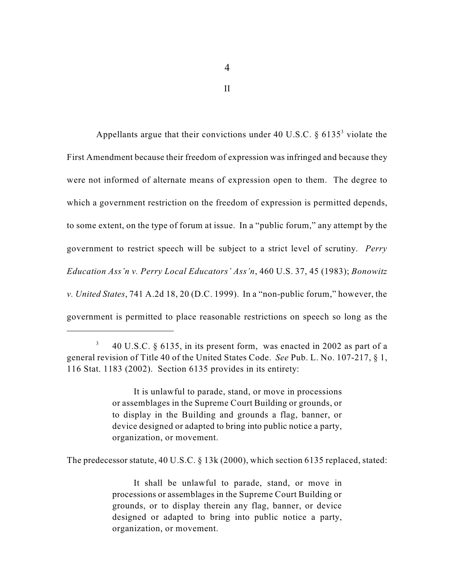Appellants argue that their convictions under 40 U.S.C.  $\S$  6135<sup>3</sup> violate the First Amendment because their freedom of expression was infringed and because they were not informed of alternate means of expression open to them. The degree to which a government restriction on the freedom of expression is permitted depends, to some extent, on the type of forum at issue. In a "public forum," any attempt by the government to restrict speech will be subject to a strict level of scrutiny. *Perry Education Ass'n v. Perry Local Educators' Ass'n*, 460 U.S. 37, 45 (1983); *Bonowitz v. United States*, 741 A.2d 18, 20 (D.C. 1999). In a "non-public forum," however, the government is permitted to place reasonable restrictions on speech so long as the

It is unlawful to parade, stand, or move in processions or assemblages in the Supreme Court Building or grounds, or to display in the Building and grounds a flag, banner, or device designed or adapted to bring into public notice a party, organization, or movement.

The predecessor statute, 40 U.S.C. § 13k (2000), which section 6135 replaced, stated:

It shall be unlawful to parade, stand, or move in processions or assemblages in the Supreme Court Building or grounds, or to display therein any flag, banner, or device designed or adapted to bring into public notice a party, organization, or movement.

II

<sup>40</sup> U.S.C. § 6135, in its present form, was enacted in 2002 as part of a 3 general revision of Title 40 of the United States Code. *See* Pub. L. No. 107-217, § 1, 116 Stat. 1183 (2002). Section 6135 provides in its entirety: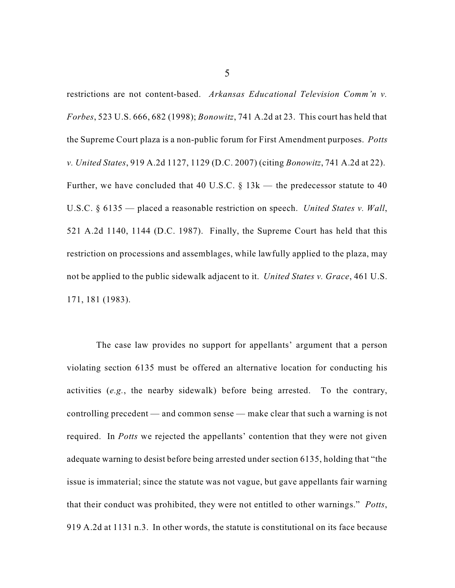restrictions are not content-based. *Arkansas Educational Television Comm'n v. Forbes*, 523 U.S. 666, 682 (1998); *Bonowitz*, 741 A.2d at 23. This court has held that the Supreme Court plaza is a non-public forum for First Amendment purposes. *Potts v. United States*, 919 A.2d 1127, 1129 (D.C. 2007) (citing *Bonowitz*, 741 A.2d at 22). Further, we have concluded that 40 U.S.C.  $\S$  13k — the predecessor statute to 40 U.S.C. § 6135 — placed a reasonable restriction on speech. *United States v. Wall*, 521 A.2d 1140, 1144 (D.C. 1987). Finally, the Supreme Court has held that this restriction on processions and assemblages, while lawfully applied to the plaza, may not be applied to the public sidewalk adjacent to it. *United States v. Grace*, 461 U.S. 171, 181 (1983).

The case law provides no support for appellants' argument that a person violating section 6135 must be offered an alternative location for conducting his activities (*e.g.*, the nearby sidewalk) before being arrested. To the contrary, controlling precedent — and common sense — make clear that such a warning is not required. In *Potts* we rejected the appellants' contention that they were not given adequate warning to desist before being arrested under section 6135, holding that "the issue is immaterial; since the statute was not vague, but gave appellants fair warning that their conduct was prohibited, they were not entitled to other warnings." *Potts*, 919 A.2d at 1131 n.3. In other words, the statute is constitutional on its face because

5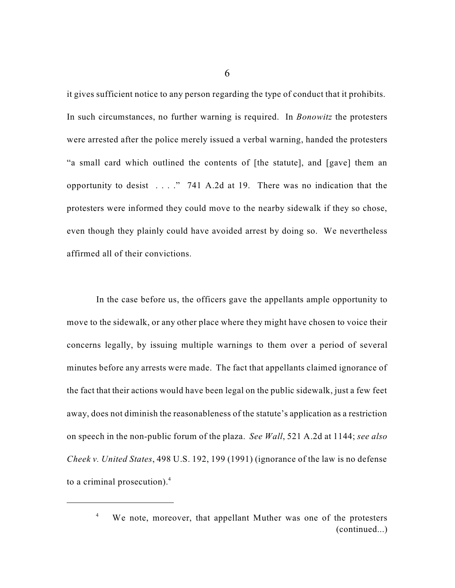it gives sufficient notice to any person regarding the type of conduct that it prohibits. In such circumstances, no further warning is required. In *Bonowitz* the protesters were arrested after the police merely issued a verbal warning, handed the protesters "a small card which outlined the contents of [the statute], and [gave] them an opportunity to desist  $\ldots$  ." 741 A.2d at 19. There was no indication that the protesters were informed they could move to the nearby sidewalk if they so chose, even though they plainly could have avoided arrest by doing so. We nevertheless affirmed all of their convictions.

In the case before us, the officers gave the appellants ample opportunity to move to the sidewalk, or any other place where they might have chosen to voice their concerns legally, by issuing multiple warnings to them over a period of several minutes before any arrests were made. The fact that appellants claimed ignorance of the fact that their actions would have been legal on the public sidewalk, just a few feet away, does not diminish the reasonableness of the statute's application as a restriction on speech in the non-public forum of the plaza. *See Wall*, 521 A.2d at 1144; *see also Cheek v. United States*, 498 U.S. 192, 199 (1991) (ignorance of the law is no defense to a criminal prosecution). 4

6

We note, moreover, that appellant Muther was one of the protesters 4 (continued...)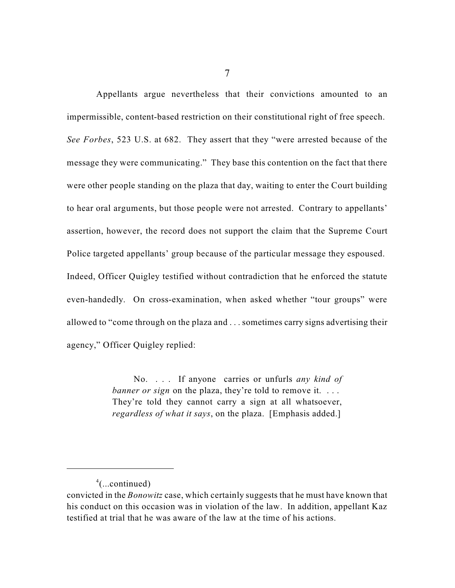Appellants argue nevertheless that their convictions amounted to an impermissible, content-based restriction on their constitutional right of free speech. *See Forbes*, 523 U.S. at 682. They assert that they "were arrested because of the message they were communicating." They base this contention on the fact that there were other people standing on the plaza that day, waiting to enter the Court building to hear oral arguments, but those people were not arrested. Contrary to appellants' assertion, however, the record does not support the claim that the Supreme Court Police targeted appellants' group because of the particular message they espoused. Indeed, Officer Quigley testified without contradiction that he enforced the statute even-handedly. On cross-examination, when asked whether "tour groups" were allowed to "come through on the plaza and . . . sometimes carry signs advertising their agency," Officer Quigley replied:

> No. . . . If anyone carries or unfurls *any kind of banner or sign* on the plaza, they're told to remove it. ... They're told they cannot carry a sign at all whatsoever, *regardless of what it says*, on the plaza. [Emphasis added.]

 $4$ (...continued)

convicted in the *Bonowitz* case, which certainly suggests that he must have known that his conduct on this occasion was in violation of the law. In addition, appellant Kaz testified at trial that he was aware of the law at the time of his actions.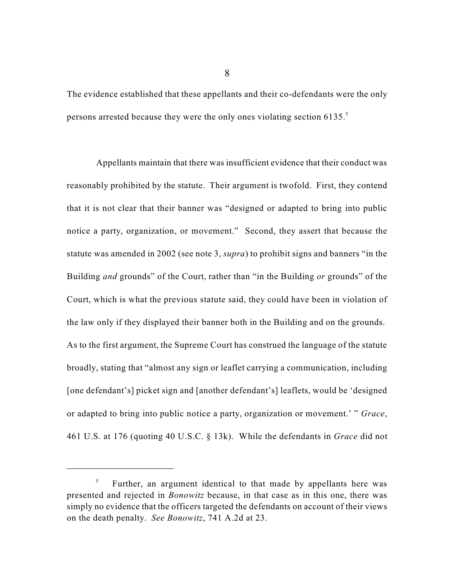The evidence established that these appellants and their co-defendants were the only persons arrested because they were the only ones violating section 6135. 5

Appellants maintain that there was insufficient evidence that their conduct was reasonably prohibited by the statute. Their argument is twofold. First, they contend that it is not clear that their banner was "designed or adapted to bring into public notice a party, organization, or movement." Second, they assert that because the statute was amended in 2002 (see note 3, *supra*) to prohibit signs and banners "in the Building *and* grounds" of the Court, rather than "in the Building *or* grounds" of the Court, which is what the previous statute said, they could have been in violation of the law only if they displayed their banner both in the Building and on the grounds. As to the first argument, the Supreme Court has construed the language of the statute broadly, stating that "almost any sign or leaflet carrying a communication, including [one defendant's] picket sign and [another defendant's] leaflets, would be 'designed or adapted to bring into public notice a party, organization or movement.' " *Grace*, 461 U.S. at 176 (quoting 40 U.S.C. § 13k). While the defendants in *Grace* did not

8

Further, an argument identical to that made by appellants here was 5 presented and rejected in *Bonowitz* because, in that case as in this one, there was simply no evidence that the officers targeted the defendants on account of their views on the death penalty. *See Bonowitz*, 741 A.2d at 23.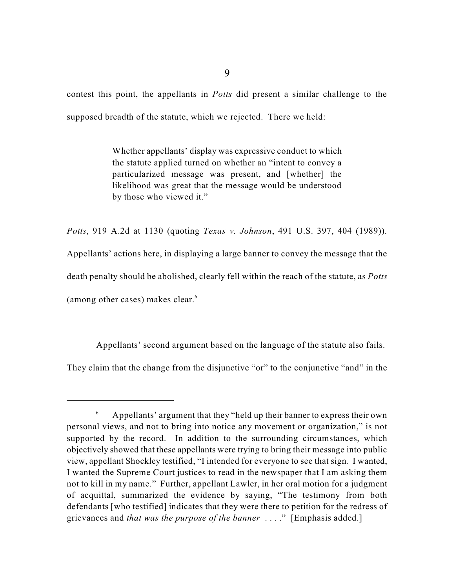contest this point, the appellants in *Potts* did present a similar challenge to the supposed breadth of the statute, which we rejected. There we held:

> Whether appellants' display was expressive conduct to which the statute applied turned on whether an "intent to convey a particularized message was present, and [whether] the likelihood was great that the message would be understood by those who viewed it."

*Potts*, 919 A.2d at 1130 (quoting *Texas v. Johnson*, 491 U.S. 397, 404 (1989)). Appellants' actions here, in displaying a large banner to convey the message that the death penalty should be abolished, clearly fell within the reach of the statute, as *Potts* (among other cases) makes clear. 6

Appellants' second argument based on the language of the statute also fails.

They claim that the change from the disjunctive "or" to the conjunctive "and" in the

Appellants' argument that they "held up their banner to express their own 6 personal views, and not to bring into notice any movement or organization," is not supported by the record. In addition to the surrounding circumstances, which objectively showed that these appellants were trying to bring their message into public view, appellant Shockley testified, "I intended for everyone to see that sign. I wanted, I wanted the Supreme Court justices to read in the newspaper that I am asking them not to kill in my name." Further, appellant Lawler, in her oral motion for a judgment of acquittal, summarized the evidence by saying, "The testimony from both defendants [who testified] indicates that they were there to petition for the redress of grievances and *that was the purpose of the banner* . . . ." [Emphasis added.]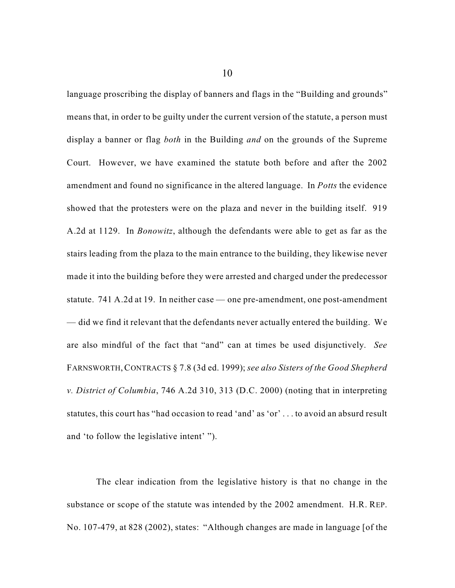language proscribing the display of banners and flags in the "Building and grounds" means that, in order to be guilty under the current version of the statute, a person must display a banner or flag *both* in the Building *and* on the grounds of the Supreme Court. However, we have examined the statute both before and after the 2002 amendment and found no significance in the altered language. In *Potts* the evidence showed that the protesters were on the plaza and never in the building itself. 919 A.2d at 1129. In *Bonowitz*, although the defendants were able to get as far as the stairs leading from the plaza to the main entrance to the building, they likewise never made it into the building before they were arrested and charged under the predecessor statute. 741 A.2d at 19. In neither case — one pre-amendment, one post-amendment — did we find it relevant that the defendants never actually entered the building. We are also mindful of the fact that "and" can at times be used disjunctively. *See* FARNSWORTH,CONTRACTS § 7.8 (3d ed. 1999); *see also Sisters of the Good Shepherd v. District of Columbia*, 746 A.2d 310, 313 (D.C. 2000) (noting that in interpreting statutes, this court has "had occasion to read 'and' as 'or' . . . to avoid an absurd result and 'to follow the legislative intent' ").

The clear indication from the legislative history is that no change in the substance or scope of the statute was intended by the 2002 amendment. H.R. REP. No. 107-479, at 828 (2002), states: "Although changes are made in language [of the